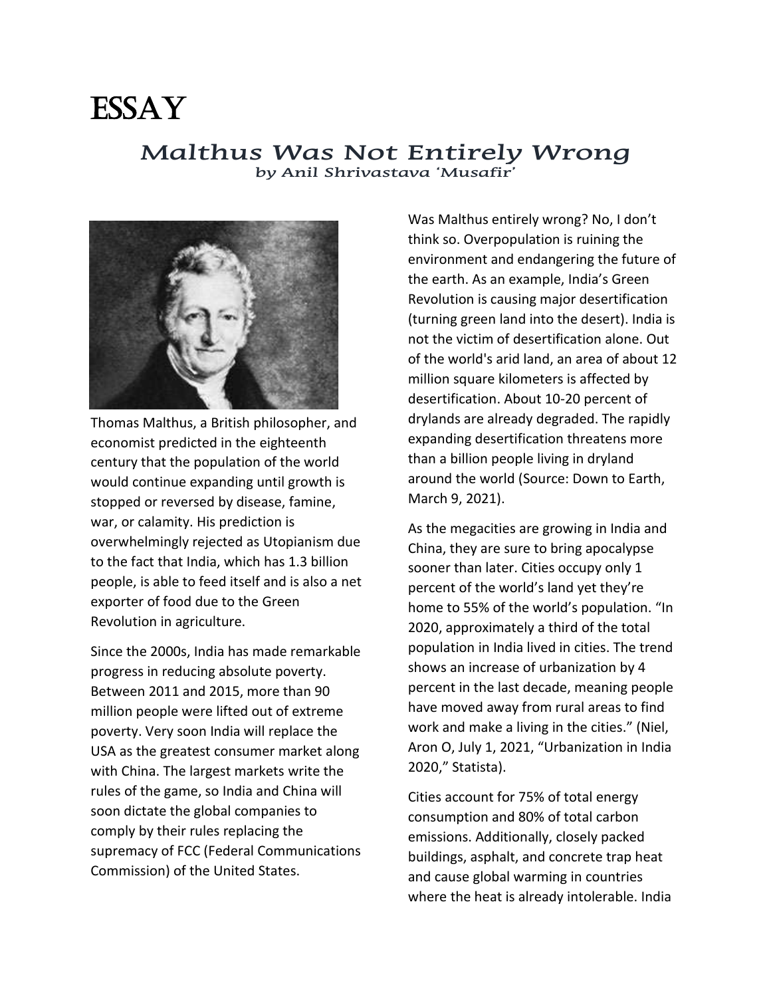

## **Malthus Was Not Entirely Wrong by Anil Shrivastava 'Musafir'**



Thomas Malthus, a British philosopher, and economist predicted in the eighteenth century that the population of the world would continue expanding until growth is stopped or reversed by disease, famine, war, or calamity. His prediction is overwhelmingly rejected as Utopianism due to the fact that India, which has 1.3 billion people, is able to feed itself and is also a net exporter of food due to the Green Revolution in agriculture.

Since the 2000s, India has made remarkable progress in reducing absolute poverty. Between 2011 and 2015, more than 90 million people were lifted out of extreme poverty. Very soon India will replace the USA as the greatest consumer market along with China. The largest markets write the rules of the game, so India and China will soon dictate the global companies to comply by their rules replacing the supremacy of FCC (Federal Communications Commission) of the United States.

Was Malthus entirely wrong? No, I don't think so. Overpopulation is ruining the environment and endangering the future of the earth. As an example, India's Green Revolution is causing major desertification (turning green land into the desert). India is not the victim of desertification alone. Out of the world's arid land, an area of about 12 million square kilometers is affected by desertification. About 10-20 percent of drylands are already degraded. The rapidly expanding desertification threatens more than a billion people living in dryland around the world (Source: Down to Earth, March 9, 2021).

As the megacities are growing in India and China, they are sure to bring apocalypse sooner than later. Cities occupy only 1 percent of the world's land yet they're home to 55% of the world's population. "In 2020, approximately a third of the total population in India lived in cities. The trend shows an increase of urbanization by 4 percent in the last decade, meaning people have moved away from rural areas to find work and make a living in the cities." (Niel, Aron O, July 1, 2021, "Urbanization in India 2020," Statista).

Cities account for 75% of total energy consumption and 80% of total carbon emissions. Additionally, closely packed buildings, asphalt, and concrete trap heat and cause global warming in countries where the heat is already intolerable. India